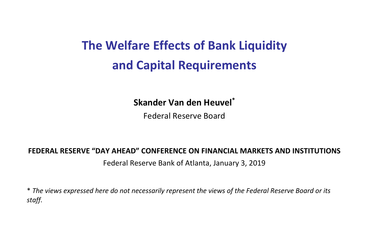# **The Welfare Effects of Bank Liquidity and Capital Requirements**

#### **Skander Van den Heuvel\***

Federal Reserve Board

#### **FEDERAL RESERVE "DAY AHEAD" CONFERENCE ON FINANCIAL MARKETS AND INSTITUTIONS** Federal Reserve Bank of Atlanta, January 3, 2019

\* *The views expressed here do not necessarily represent the views of the Federal Reserve Board or its staff.*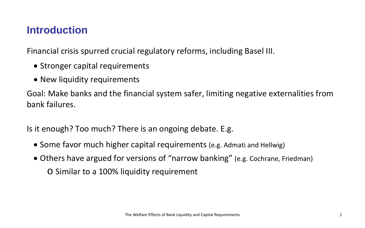## **Introduction**

Financial crisis spurred crucial regulatory reforms, including Basel III.

- Stronger capital requirements
- New liquidity requirements

Goal: Make banks and the financial system safer, limiting negative externalities from bank failures.

Is it enough? Too much? There is an ongoing debate. E.g.

- Some favor much higher capital requirements (e.g. Admati and Hellwig)
- Others have argued for versions of "narrow banking" (e.g. Cochrane, Friedman) o Similar to a 100% liquidity requirement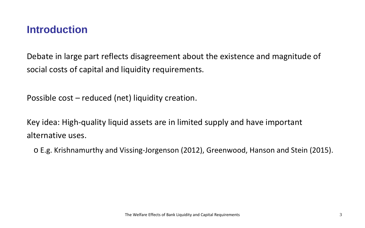## **Introduction**

Debate in large part reflects disagreement about the existence and magnitude of social costs of capital and liquidity requirements.

Possible cost – reduced (net) liquidity creation.

Key idea: High-quality liquid assets are in limited supply and have important alternative uses.

o E.g. Krishnamurthy and Vissing-Jorgenson (2012), Greenwood, Hanson and Stein (2015).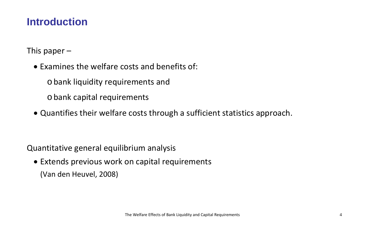## **Introduction**

This paper  $-$ 

• Examines the welfare costs and benefits of:

obank liquidity requirements and

obank capital requirements

• Quantifies their welfare costs through a sufficient statistics approach.

Quantitative general equilibrium analysis

• Extends previous work on capital requirements (Van den Heuvel, 2008)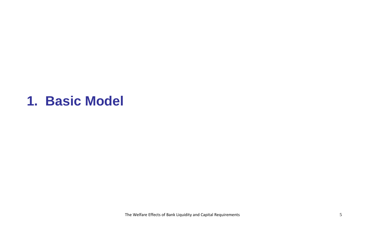# **1. Basic Model**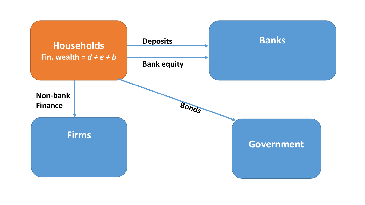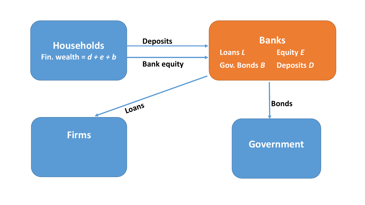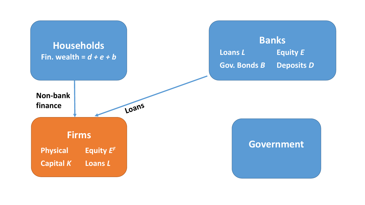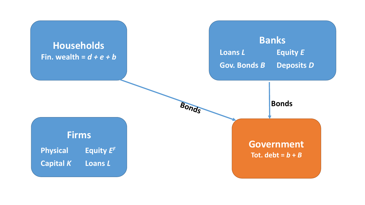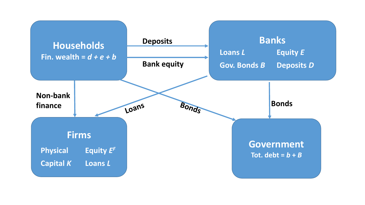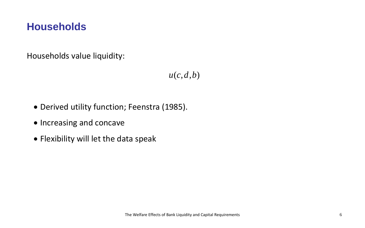## **Households**

Households value liquidity:

 $u(c, d, b)$ 

- Derived utility function; Feenstra (1985).
- Increasing and concave
- Flexibility will let the data speak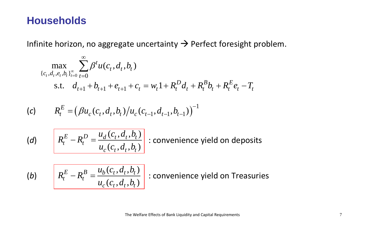### **Households**

Infinite horizon, no aggregate uncertainty  $\rightarrow$  Perfect foresight problem.

$$
\max_{\{c_t, d_t, e_t, b_t\}_{t=0}^{\infty}} \sum_{t=0}^{\infty} \beta^t u(c_t, d_t, b_t)
$$
  
s.t.  $d_{t+1} + b_{t+1} + e_{t+1} + c_t = w_t \mathbf{1} + R_t^D d_t + R_t^B b_t + R_t^E e_t - T_t$ 

(c) 
$$
R_t^E = (\beta u_c(c_t, d_t, b_t)/u_c(c_{t-1}, d_{t-1}, b_{t-1}))^{-1}
$$

(d) 
$$
R_t^E - R_t^D = \frac{u_d(c_t, d_t, b_t)}{u_c(c_t, d_t, b_t)}
$$

− = : convenience yield on deposits

(b) 
$$
R_t^E - R_t^B = \frac{u_b(c_t, d_t, b_t)}{u_c(c_t, d_t, b_t)}
$$

 $\left\lceil \frac{1}{\lambda} \right\rceil$  : convenience yield on Treasuries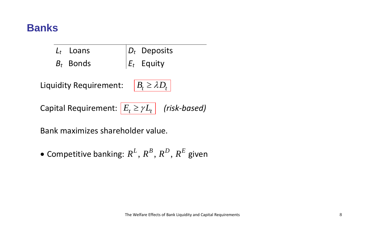## **Banks**

| $L_t$ Loans | $\left D_t\right $ Deposits |
|-------------|-----------------------------|
| $B_t$ Bonds | $E_t$ Equity                |

Liquidity Requirement: | B

$$
B_t \ge \lambda D_t \mid
$$

Capital Requirement:  $E_t \geq \gamma L_t$  (risk-based)

Bank maximizes shareholder value.

 $\bullet$  Competitive banking:  $R^L, R^B, R^D, R^E$  given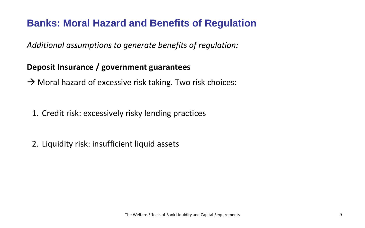*Additional assumptions to generate benefits of regulation:*

#### **Deposit Insurance / government guarantees**

 $\rightarrow$  Moral hazard of excessive risk taking. Two risk choices:

1. Credit risk: excessively risky lending practices

2. Liquidity risk: insufficient liquid assets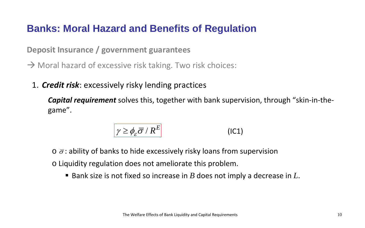#### **Deposit Insurance / government guarantees**

 $\rightarrow$  Moral hazard of excessive risk taking. Two risk choices:

1. *Credit risk*: excessively risky lending practices

*Capital requirement* solves this, together with bank supervision, through "skin-in-thegame".

$$
\gamma \ge \phi_{\varepsilon} \overline{\sigma} / R^{E} \tag{IC1}
$$

 $\circ$   $\bar{\sigma}$ : ability of banks to hide excessively risky loans from supervision o Liquidity regulation does not ameliorate this problem.

■ Bank size is not fixed so increase in *B* does not imply a decrease in *L*.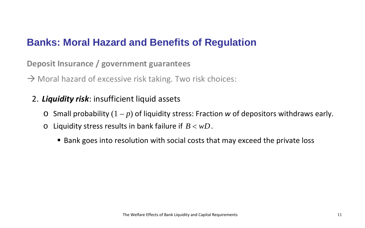**Deposit Insurance / government guarantees** 

 $\rightarrow$  Moral hazard of excessive risk taking. Two risk choices:

- 2. *Liquidity risk*: insufficient liquid assets
	- $\circ$  Small probability  $(1 p)$  of liquidity stress: Fraction *w* of depositors withdraws early.
	- o Liquidity stress results in bank failure if  $B < wD$ .
		- Bank goes into resolution with social costs that may exceed the private loss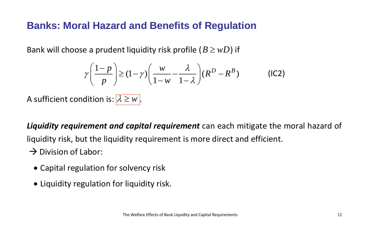Bank will choose a prudent liquidity risk profile  $(B \geq wD)$  if

$$
\gamma \left( \frac{1-p}{p} \right) \ge (1-\gamma) \left( \frac{w}{1-w} - \frac{\lambda}{1-\lambda} \right) (R^D - R^B)
$$
 (IC2)

A sufficient condition is:  $\lambda \geq w$ .

*Liquidity requirement and capital requirement* can each mitigate the moral hazard of

liquidity risk, but the liquidity requirement is more direct and efficient.

- $\rightarrow$  Division of Labor:
	- Capital regulation for solvency risk
	- Liquidity regulation for liquidity risk.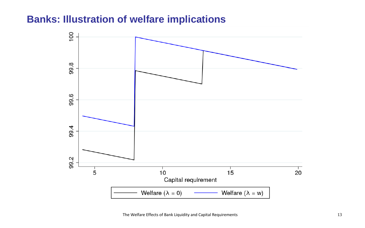### **Banks: Illustration of welfare implications**

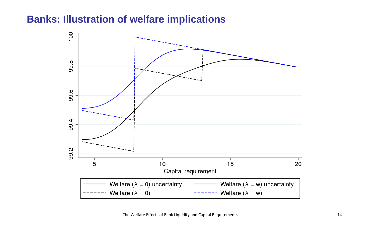#### **Banks: Illustration of welfare implications**

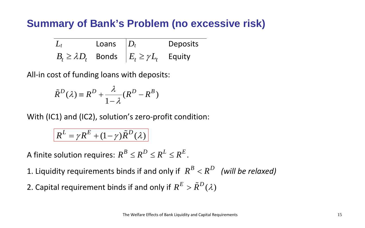# **Summary of Bank's Problem (no excessive risk)**

| $L_t$ | Loans $ D_t $ |                                                         | <b>Deposits</b> |
|-------|---------------|---------------------------------------------------------|-----------------|
|       |               | $B_t \ge \lambda D_t$ Bonds $E_t \ge \gamma L_t$ Equity |                 |

All-in cost of funding loans with deposits:

$$
\tilde{R}^D(\lambda) \equiv R^D + \frac{\lambda}{1 - \lambda} (R^D - R^B)
$$

With (IC1) and (IC2), solution's zero-profit condition:

 $\left| R^{L} = \gamma R^{E} + (1 - \gamma) \tilde{R}^{D}(\lambda) \right|$ 

A finite solution requires:  $R^B \le R^D \le R^L \le R^E$ .

1. Liquidity requirements binds if and only if  $R^B < R^D$  *(will be relaxed)* 

2. Capital requirement binds if and only if  $R^E > \tilde{R}^D(\lambda)$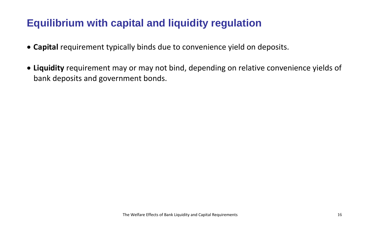# **Equilibrium with capital and liquidity regulation**

- **Capital** requirement typically binds due to convenience yield on deposits.
- **Liquidity** requirement may or may not bind, depending on relative convenience yields of bank deposits and government bonds.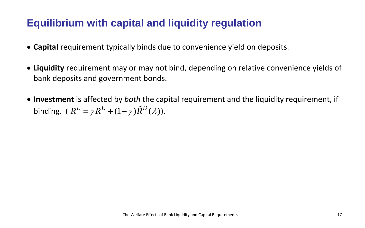# **Equilibrium with capital and liquidity regulation**

- **Capital** requirement typically binds due to convenience yield on deposits.
- **Liquidity** requirement may or may not bind, depending on relative convenience yields of bank deposits and government bonds.
- **Investment** is affected by *both* the capital requirement and the liquidity requirement, if binding. ( $R^L = \gamma R^E + (1 - \gamma) \tilde{R}^D(\lambda)$ ).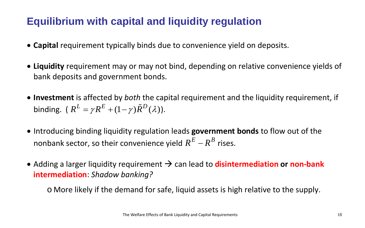# **Equilibrium with capital and liquidity regulation**

- **Capital** requirement typically binds due to convenience yield on deposits.
- **Liquidity** requirement may or may not bind, depending on relative convenience yields of bank deposits and government bonds.
- **Investment** is affected by *both* the capital requirement and the liquidity requirement, if binding. ( $R^L = \gamma R^E + (1 - \gamma) \tilde{R}^D(\lambda)$ ).
- Introducing binding liquidity regulation leads **government bonds** to flow out of the nonbank sector, so their convenience yield  $R^{E} - R^{B}$  rises.
- Adding a larger liquidity requirement  $\rightarrow$  can lead to **disintermediation or non-bank intermediation**: *Shadow banking?*

o More likely if the demand for safe, liquid assets is high relative to the supply.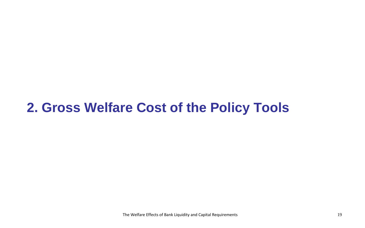# **2. Gross Welfare Cost of the Policy Tools**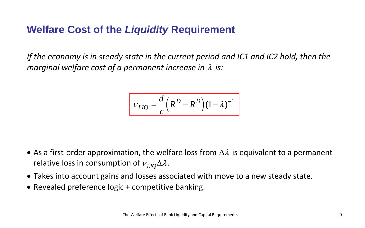# **Welfare Cost of the** *Liquidity* **Requirement**

*If the economy is in steady state in the current period and IC1 and IC2 hold, then the marginal welfare cost of a permanent increase in* λ *is:*

$$
V_{LIQ} = \frac{d}{c} \left( R^D - R^B \right) \left( 1 - \lambda \right)^{-1}
$$

- As a first-order approximation, the welfare loss from  $\Delta \lambda$  is equivalent to a permanent relative loss in consumption of  $v_{LIO}\Delta\lambda$ .
- Takes into account gains and losses associated with move to a new steady state.
- Revealed preference logic + competitive banking.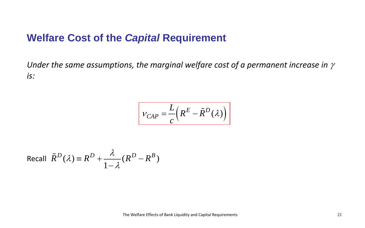#### **Welfare Cost of the** *Capital* **Requirement**

*Under the same assumptions, the marginal welfare cost of a permanent increase in* <sup>γ</sup> *is:*

$$
V_{CAP} = \frac{L}{c} \left( R^{E} - \tilde{R}^{D} (\lambda) \right)
$$

Recall 
$$
\tilde{R}^D(\lambda) \equiv R^D + \frac{\lambda}{1-\lambda} (R^D - R^B)
$$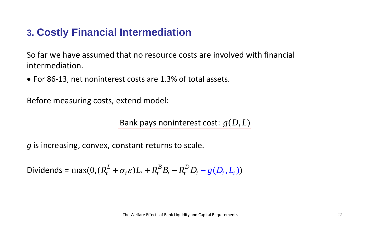# **3. Costly Financial Intermediation**

So far we have assumed that no resource costs are involved with financial intermediation.

• For 86-13, net noninterest costs are 1.3% of total assets.

Before measuring costs, extend model:

Bank pays noninterest cost:  $g(D,L)$ 

*g* is increasing, convex, constant returns to scale.

Dividends =  $\max(0, (R_t^L + \sigma_t \varepsilon)L_t + R_t^B B_t - R_t^D D_t - g(D_t, L_t))$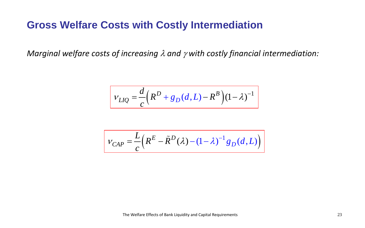# **Gross Welfare Costs with Costly Intermediation**

*Marginal welfare costs of increasing* λ *and* <sup>γ</sup> *with costly financial intermediation:*

$$
V_{LIQ} = \frac{d}{c} \left( R^D + g_D(d, L) - R^B \right) (1 - \lambda)^{-1}
$$

$$
V_{CAP} = \frac{L}{c} \left( R^{E} - \tilde{R}^{D} (\lambda) - (1 - \lambda)^{-1} g_{D} (d, L) \right)
$$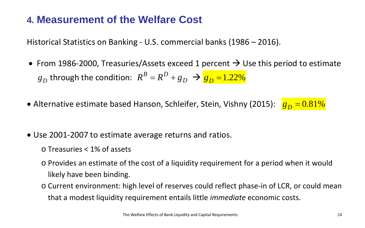# **4. Measurement of the Welfare Cost**

Historical Statistics on Banking - U.S. commercial banks (1986 – 2016).

- From 1986-2000, Treasuries/Assets exceed 1 percent  $\rightarrow$  Use this period to estimate  $B_{D}$  through the condition:  $R^{B} = R^{D} + g_{D}$   $\rightarrow$   $B_{D} = 1.22\%$
- Alternative estimate based Hanson, Schleifer, Stein, Vishny (2015):  $g_D = 0.81\%$
- Use 2001-2007 to estimate average returns and ratios.
	- o Treasuries < 1% of assets
	- o Provides an estimate of the cost of a liquidity requirement for a period when it would likely have been binding.
	- o Current environment: high level of reserves could reflect phase-in of LCR, or could mean that a modest liquidity requirement entails little *immediate* economic costs.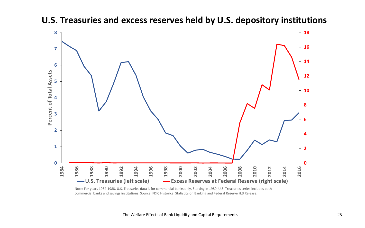

#### **U.S. Treasuries and excess reserves held by U.S. depository institutions**

Note: For years 1984-1988, U.S. Treasuries data is for commercial banks only. Starting in 1989, U.S. Treasuries series includes both commercial banks and savings institutions. Source: FDIC Historical Statistics on Banking and Federal Reserve H.3 Release.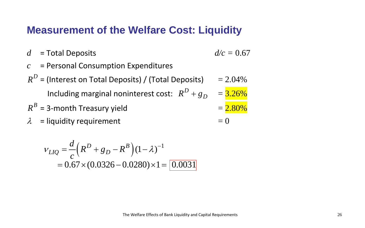## **Measurement of the Welfare Cost: Liquidity**

- $d =$  Total Deposits  $d/c = 0.67$
- 

- *c* = Personal Consumption Expenditures
- $R^D$  = (Interest on Total Deposits) / (Total Deposits) = 2.04% Including marginal noninterest cost:  $R^D + g_D = 3.26\%$  $R^B$  = 3-month Treasury yield  $R^B$  = 2.80%  $\lambda$  = liquidity requirement  $= 0$

$$
V_{LIQ} = \frac{d}{c} \left( R^D + g_D - R^B \right) (1 - \lambda)^{-1}
$$
  
= 0.67 × (0.0326 – 0.0280) × 1 = 0.0031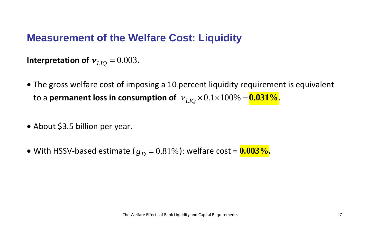### **Measurement of the Welfare Cost: Liquidity**

**Interpretation of**  $v_{LIO} = 0.003$ .

- The gross welfare cost of imposing a 10 percent liquidity requirement is equivalent to a **permanent loss in consumption of**  $v_{LIO} \times 0.1 \times 100\% = 0.031\%$ .
- About \$3.5 billion per year.
- With HSSV-based estimate  $(g_D = 0.81\%)$ : welfare cost =  $0.003\%$ .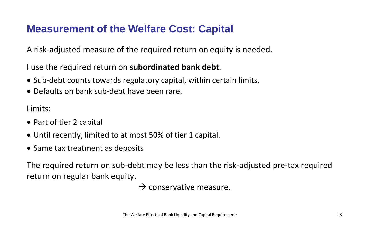# **Measurement of the Welfare Cost: Capital**

A risk-adjusted measure of the required return on equity is needed.

I use the required return on **subordinated bank debt**.

- Sub-debt counts towards regulatory capital, within certain limits.
- Defaults on bank sub-debt have been rare.

Limits:

- Part of tier 2 capital
- Until recently, limited to at most 50% of tier 1 capital.
- Same tax treatment as deposits

The required return on sub-debt may be less than the risk-adjusted pre-tax required return on regular bank equity.

 $\rightarrow$  conservative measure.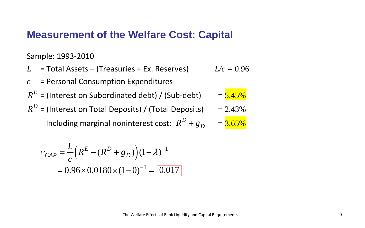#### **Measurement of the Welfare Cost: Capital**

Sample: 1993-2010

*L* = Total Assets – (Treasuries + Ex. Reserves) *c* = Personal Consumption Expenditures  $R^E$  = (Interest on Subordinated debt) / (Sub-debt)  $=$   $\frac{5.45\%}{2.5\%}$  $R^D$  = (Interest on Total Deposits) / (Total Deposits)  $= 2.43\%$ Including marginal noninterest cost:  $R^D + g_D = 3.65\%$ 

$$
v_{CAP} = \frac{L}{c} \left( R^{E} - (R^{D} + g_{D}) \right) (1 - \lambda)^{-1}
$$

$$
= 0.96 \times 0.0180 \times (1 - 0)^{-1} = \boxed{0.017}
$$

$$
L/c=0.96
$$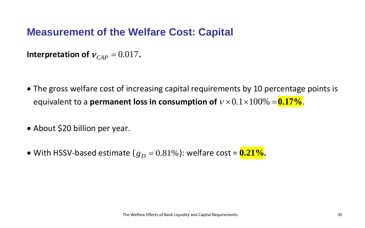# **Measurement of the Welfare Cost: Capital**

**Interpretation of**  $v_{CAP} = 0.017$ .

- The gross welfare cost of increasing capital requirements by 10 percentage points is equivalent to a **permanent loss in consumption of**  $v \times 0.1 \times 100\% = 0.17\%$ .
- About \$20 billion per year.
- With HSSV-based estimate  $(g_D = 0.81\%)$ : welfare cost =  $0.21\%$ .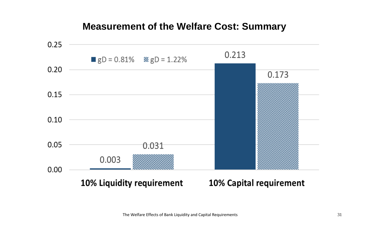#### **Measurement of the Welfare Cost: Summary**